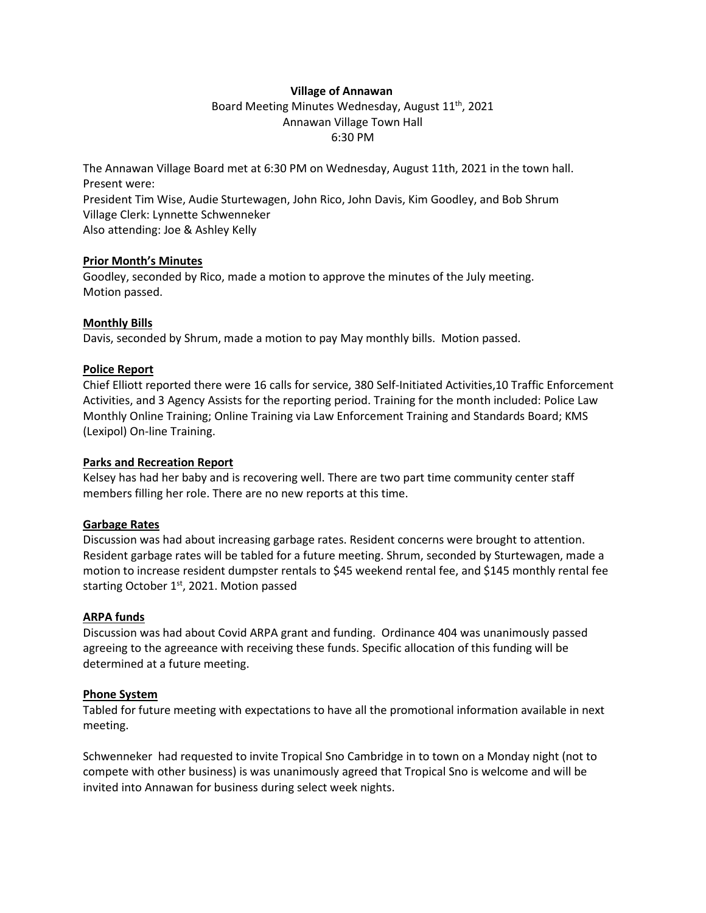## **Village of Annawan**

Board Meeting Minutes Wednesday, August 11<sup>th</sup>, 2021 Annawan Village Town Hall 6:30 PM

The Annawan Village Board met at 6:30 PM on Wednesday, August 11th, 2021 in the town hall. Present were:

President Tim Wise, Audie Sturtewagen, John Rico, John Davis, Kim Goodley, and Bob Shrum Village Clerk: Lynnette Schwenneker

Also attending: Joe & Ashley Kelly

## **Prior Month's Minutes**

Goodley, seconded by Rico, made a motion to approve the minutes of the July meeting. Motion passed.

# **Monthly Bills**

Davis, seconded by Shrum, made a motion to pay May monthly bills. Motion passed.

## **Police Report**

Chief Elliott reported there were 16 calls for service, 380 Self-Initiated Activities,10 Traffic Enforcement Activities, and 3 Agency Assists for the reporting period. Training for the month included: Police Law Monthly Online Training; Online Training via Law Enforcement Training and Standards Board; KMS (Lexipol) On-line Training.

### **Parks and Recreation Report**

Kelsey has had her baby and is recovering well. There are two part time community center staff members filling her role. There are no new reports at this time.

### **Garbage Rates**

Discussion was had about increasing garbage rates. Resident concerns were brought to attention. Resident garbage rates will be tabled for a future meeting. Shrum, seconded by Sturtewagen, made a motion to increase resident dumpster rentals to \$45 weekend rental fee, and \$145 monthly rental fee starting October  $1<sup>st</sup>$ , 2021. Motion passed

### **ARPA funds**

Discussion was had about Covid ARPA grant and funding. Ordinance 404 was unanimously passed agreeing to the agreeance with receiving these funds. Specific allocation of this funding will be determined at a future meeting.

# **Phone System**

Tabled for future meeting with expectations to have all the promotional information available in next meeting.

Schwenneker had requested to invite Tropical Sno Cambridge in to town on a Monday night (not to compete with other business) is was unanimously agreed that Tropical Sno is welcome and will be invited into Annawan for business during select week nights.